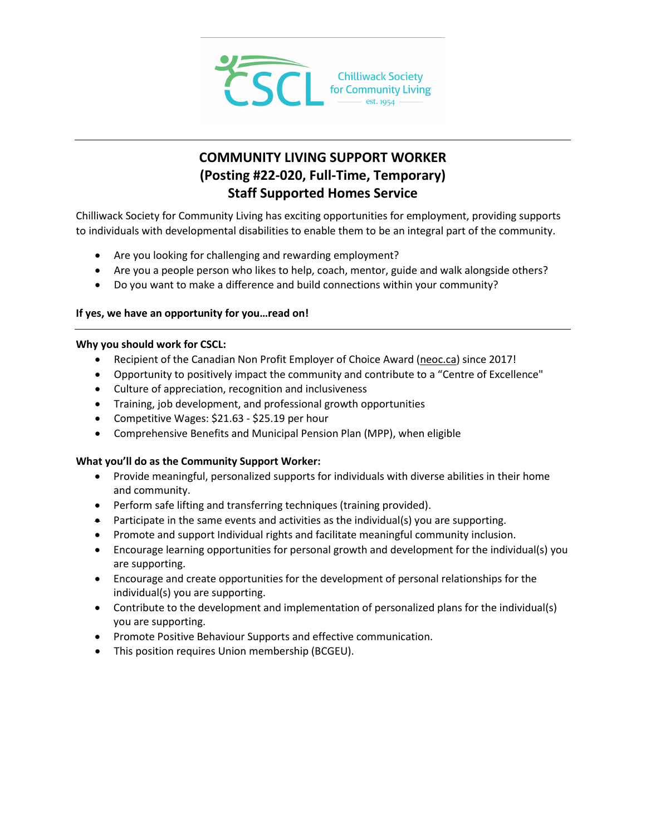

# **COMMUNITY LIVING SUPPORT WORKER (Posting #22-020, Full-Time, Temporary) Staff Supported Homes Service**

Chilliwack Society for Community Living has exciting opportunities for employment, providing supports to individuals with developmental disabilities to enable them to be an integral part of the community.

- Are you looking for challenging and rewarding employment?
- Are you a people person who likes to help, coach, mentor, guide and walk alongside others?
- Do you want to make a difference and build connections within your community?

# **If yes, we have an opportunity for you…read on!**

# **Why you should work for CSCL:**

- Recipient of the Canadian Non Profit Employer of Choice Award [\(neoc.ca\)](http://neoc.ca/) since 2017!
- Opportunity to positively impact the community and contribute to a "Centre of Excellence"
- Culture of appreciation, recognition and inclusiveness
- Training, job development, and professional growth opportunities
- Competitive Wages: \$21.63 \$25.19 per hour
- Comprehensive Benefits and Municipal Pension Plan (MPP), when eligible

# **What you'll do as the Community Support Worker:**

- Provide meaningful, personalized supports for individuals with diverse abilities in their home and community.
- Perform safe lifting and transferring techniques (training provided).
- Participate in the same events and activities as the individual(s) you are supporting.
- Promote and support Individual rights and facilitate meaningful community inclusion.
- Encourage learning opportunities for personal growth and development for the individual(s) you are supporting.
- Encourage and create opportunities for the development of personal relationships for the individual(s) you are supporting.
- Contribute to the development and implementation of personalized plans for the individual(s) you are supporting.
- Promote Positive Behaviour Supports and effective communication.
- This position requires Union membership (BCGEU).